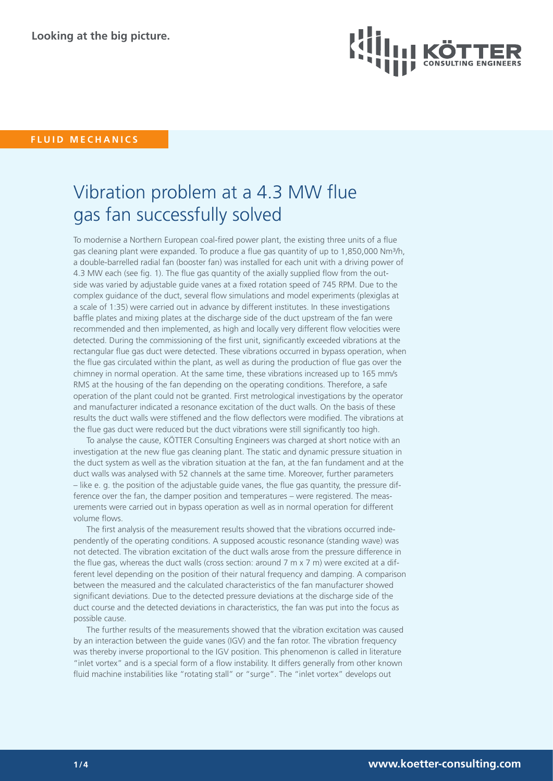

## **FLUID MECHANICS**

# Vibration problem at a 4.3 MW flue gas fan successfully solved

To modernise a Northern European coal-fired power plant, the existing three units of a flue gas cleaning plant were expanded. To produce a flue gas quantity of up to 1,850,000 Nm<sup>3</sup>/h, a double-barrelled radial fan (booster fan) was installed for each unit with a driving power of 4.3 MW each (see fig. 1). The flue gas quantity of the axially supplied flow from the outside was varied by adjustable guide vanes at a fixed rotation speed of 745 RPM. Due to the complex guidance of the duct, several flow simulations and model experiments (plexiglas at a scale of 1:35) were carried out in advance by different institutes. In these investigations baffle plates and mixing plates at the discharge side of the duct upstream of the fan were recommended and then implemented, as high and locally very different flow velocities were detected. During the commissioning of the first unit, significantly exceeded vibrations at the rectangular flue gas duct were detected. These vibrations occurred in bypass operation, when the flue gas circulated within the plant, as well as during the production of flue gas over the chimney in normal operation. At the same time, these vibrations increased up to 165 mm/s RMS at the housing of the fan depending on the operating conditions. Therefore, a safe operation of the plant could not be granted. First metrological investigations by the operator and manufacturer indicated a resonance excitation of the duct walls. On the basis of these results the duct walls were stiffened and the flow deflectors were modified. The vibrations at the flue gas duct were reduced but the duct vibrations were still significantly too high.

To analyse the cause, KÖTTER Consulting Engineers was charged at short notice with an investigation at the new flue gas cleaning plant. The static and dynamic pressure situation in the duct system as well as the vibration situation at the fan, at the fan fundament and at the duct walls was analysed with 52 channels at the same time. Moreover, further parameters – like e. g. the position of the adjustable guide vanes, the flue gas quantity, the pressure difference over the fan, the damper position and temperatures – were registered. The measurements were carried out in bypass operation as well as in normal operation for different volume flows.

The first analysis of the measurement results showed that the vibrations occurred independently of the operating conditions. A supposed acoustic resonance (standing wave) was not detected. The vibration excitation of the duct walls arose from the pressure difference in the flue gas, whereas the duct walls (cross section: around 7 m x 7 m) were excited at a different level depending on the position of their natural frequency and damping. A comparison between the measured and the calculated characteristics of the fan manufacturer showed significant deviations. Due to the detected pressure deviations at the discharge side of the duct course and the detected deviations in characteristics, the fan was put into the focus as possible cause.

The further results of the measurements showed that the vibration excitation was caused by an interaction between the guide vanes (IGV) and the fan rotor. The vibration frequency was thereby inverse proportional to the IGV position. This phenomenon is called in literature "inlet vortex" and is a special form of a flow instability. It differs generally from other known fluid machine instabilities like "rotating stall" or "surge". The "inlet vortex" develops out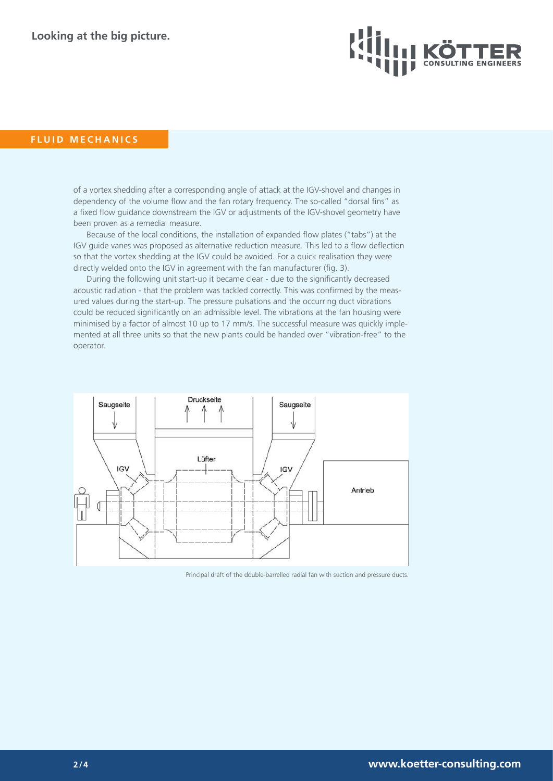

### **FLUID MECHANICS**

of a vortex shedding after a corresponding angle of attack at the IGV-shovel and changes in dependency of the volume flow and the fan rotary frequency. The so-called "dorsal fins" as a fixed flow guidance downstream the IGV or adjustments of the IGV-shovel geometry have been proven as a remedial measure.

Because of the local conditions, the installation of expanded flow plates ("tabs") at the IGV guide vanes was proposed as alternative reduction measure. This led to a flow deflection so that the vortex shedding at the IGV could be avoided. For a quick realisation they were directly welded onto the IGV in agreement with the fan manufacturer (fig. 3).

During the following unit start-up it became clear - due to the significantly decreased acoustic radiation - that the problem was tackled correctly. This was confirmed by the measured values during the start-up. The pressure pulsations and the occurring duct vibrations could be reduced significantly on an admissible level. The vibrations at the fan housing were minimised by a factor of almost 10 up to 17 mm/s. The successful measure was quickly implemented at all three units so that the new plants could be handed over "vibration-free" to the operator.



Principal draft of the double-barrelled radial fan with suction and pressure ducts.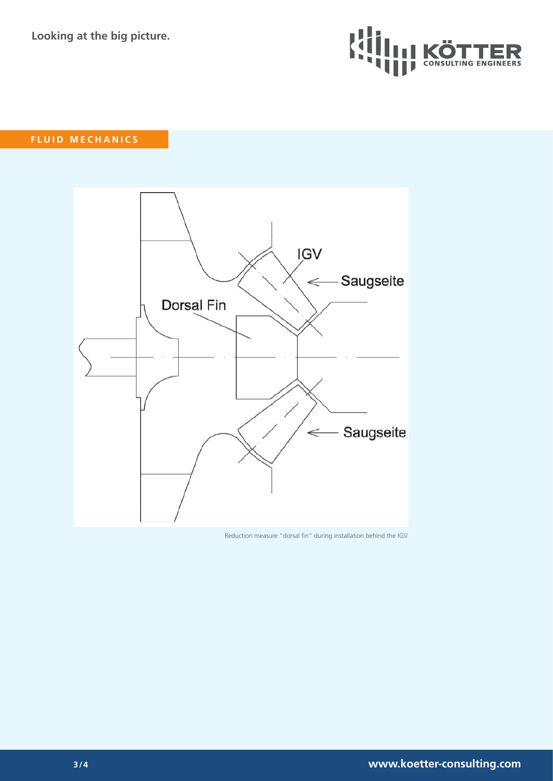**Looking at the big picture.**



## **FLUID MECHANICS**



Reduction measure "dorsal fin" during installation behind the IGV.